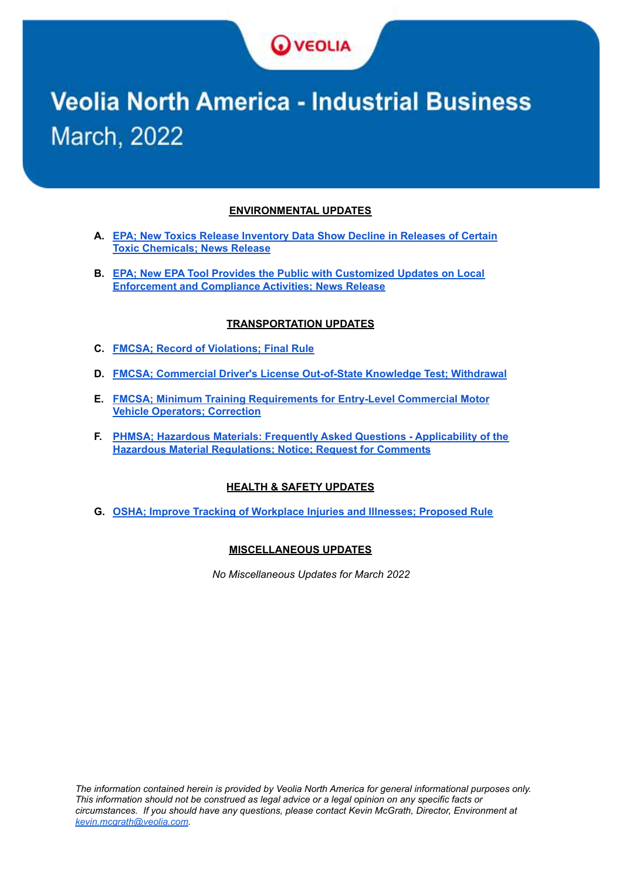

# **Veolia North America - Industrial Business March, 2022**

#### **ENVIRONMENTAL UPDATES**

- **A. EPA; New Toxics Release [Inventory](#page-1-0) Data Show Decline in Releases of Certain Toxic [Chemicals;](#page-1-0) News Release**
- **B. EPA; New EPA Tool Provides the Public with [Customized](#page-2-0) Updates on Local [Enforcement](#page-2-0) and Compliance Activities; News Release**

#### **TRANSPORTATION UPDATES**

- **C. FMCSA; Record of [Violations;](#page-3-0) Final Rule**
- **D. FMCSA; Commercial Driver's License [Out-of-State](#page-5-0) Knowledge Test; Withdrawal**
- **E. FMCSA; Minimum Training [Requirements](#page-6-0) for Entry-Level Commercial Motor Vehicle [Operators;](#page-6-0) Correction**
- **F. PHMSA; Hazardous Materials: Frequently Asked Questions - [Applicability](#page-7-0) of the Hazardous Material [Regulations;](#page-7-0) Notice; Request for Comments**

#### **HEALTH & SAFETY UPDATES**

**G. OSHA; Improve Tracking of [Workplace](#page-10-0) Injuries and Illnesses; Proposed Rule**

#### **MISCELLANEOUS UPDATES**

*No Miscellaneous Updates for March 2022*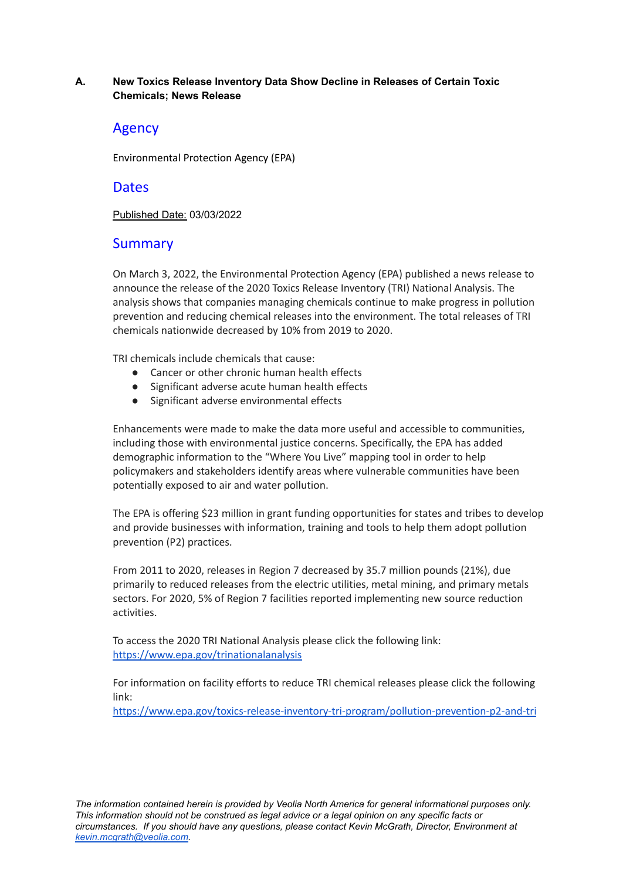#### <span id="page-1-0"></span>**A. New Toxics Release Inventory Data Show Decline in Releases of Certain Toxic Chemicals; News Release**

# Agency

Environmental Protection Agency (EPA)

## **Dates**

Published Date: 03/03/2022

# **Summary**

On March 3, 2022, the Environmental Protection Agency (EPA) published a news release to announce the release of the 2020 Toxics Release Inventory (TRI) National Analysis. The analysis shows that companies managing chemicals continue to make progress in pollution prevention and reducing chemical releases into the environment. The total releases of TRI chemicals nationwide decreased by 10% from 2019 to 2020.

TRI chemicals include chemicals that cause:

- Cancer or other chronic human health effects
- Significant adverse acute human health effects
- Significant adverse environmental effects

Enhancements were made to make the data more useful and accessible to communities, including those with environmental justice concerns. Specifically, the EPA has added demographic information to the "Where You Live" mapping tool in order to help policymakers and stakeholders identify areas where vulnerable communities have been potentially exposed to air and water pollution.

The EPA is offering \$23 million in grant funding opportunities for states and tribes to develop and provide businesses with information, training and tools to help them adopt pollution prevention (P2) practices.

From 2011 to 2020, releases in Region 7 decreased by 35.7 million pounds (21%), due primarily to reduced releases from the electric utilities, metal mining, and primary metals sectors. For 2020, 5% of Region 7 facilities reported implementing new source reduction activities.

To access the 2020 TRI National Analysis please click the following link: <https://www.epa.gov/trinationalanalysis>

For information on facility efforts to reduce TRI chemical releases please click the following link:

<https://www.epa.gov/toxics-release-inventory-tri-program/pollution-prevention-p2-and-tri>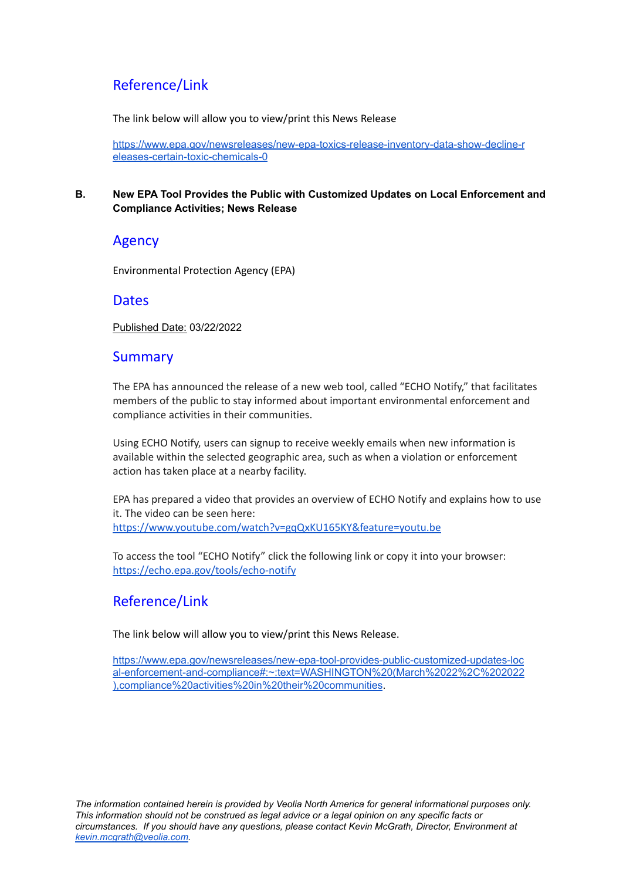# Reference/Link

The link below will allow you to view/print this News Release

[https://www.epa.gov/newsreleases/new-epa-toxics-release-inventory-data-show-decline-r](https://www.epa.gov/newsreleases/new-epa-toxics-release-inventory-data-show-decline-releases-certain-toxic-chemicals-0) [eleases-certain-toxic-chemicals-0](https://www.epa.gov/newsreleases/new-epa-toxics-release-inventory-data-show-decline-releases-certain-toxic-chemicals-0)

#### <span id="page-2-0"></span>**B. New EPA Tool Provides the Public with Customized Updates on Local Enforcement and Compliance Activities; News Release**

# Agency

Environmental Protection Agency (EPA)

# **Dates**

Published Date: 03/22/2022

# **Summary**

The EPA has announced the release of a new web tool, called "ECHO Notify," that facilitates members of the public to stay informed about important environmental enforcement and compliance activities in their communities.

Using ECHO Notify, users can signup to receive weekly emails when new information is available within the selected geographic area, such as when a violation or enforcement action has taken place at a nearby facility.

EPA has prepared a video that provides an overview of ECHO Notify and explains how to use it. The video can be seen here: <https://www.youtube.com/watch?v=gqQxKU165KY&feature=youtu.be>

To access the tool "ECHO Notify" click the following link or copy it into your browser: <https://echo.epa.gov/tools/echo-notify>

# Reference/Link

The link below will allow you to view/print this News Release.

[https://www.epa.gov/newsreleases/new-epa-tool-provides-public-customized-updates-loc](https://www.epa.gov/newsreleases/new-epa-tool-provides-public-customized-updates-local-enforcement-and-compliance#:~:text=WASHINGTON%20(March%2022%2C%202022),compliance%20activities%20in%20their%20communities) [al-enforcement-and-compliance#:~:text=WASHINGTON%20\(March%2022%2C%202022](https://www.epa.gov/newsreleases/new-epa-tool-provides-public-customized-updates-local-enforcement-and-compliance#:~:text=WASHINGTON%20(March%2022%2C%202022),compliance%20activities%20in%20their%20communities) [\),compliance%20activities%20in%20their%20communities](https://www.epa.gov/newsreleases/new-epa-tool-provides-public-customized-updates-local-enforcement-and-compliance#:~:text=WASHINGTON%20(March%2022%2C%202022),compliance%20activities%20in%20their%20communities).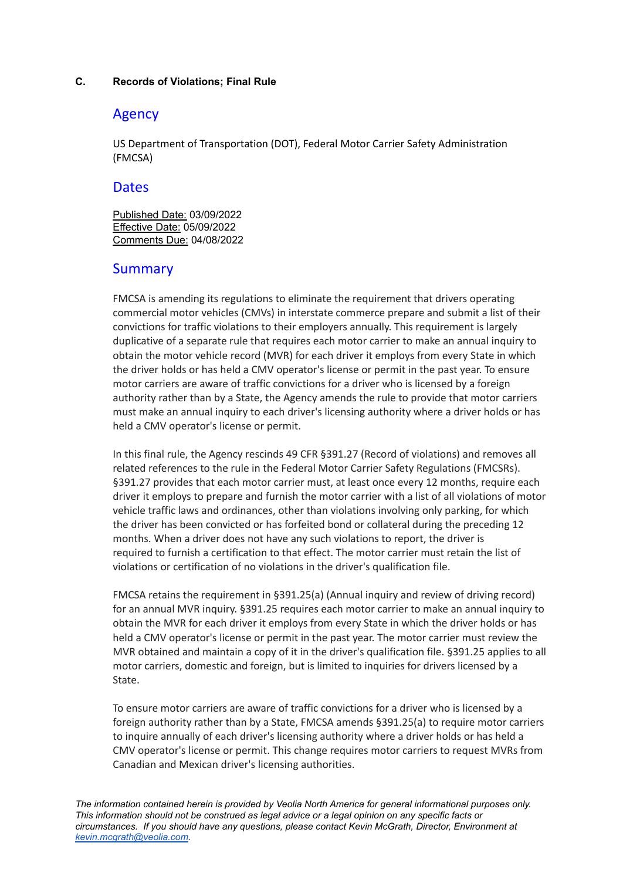#### <span id="page-3-0"></span>**C. Records of Violations; Final Rule**

# Agency

US Department of Transportation (DOT), Federal Motor Carrier Safety Administration (FMCSA)

## **Dates**

Published Date: 03/09/2022 Effective Date: 05/09/2022 Comments Due: 04/08/2022

# Summary

FMCSA is amending its regulations to eliminate the requirement that drivers operating commercial motor vehicles (CMVs) in interstate commerce prepare and submit a list of their convictions for traffic violations to their employers annually. This requirement is largely duplicative of a separate rule that requires each motor carrier to make an annual inquiry to obtain the motor vehicle record (MVR) for each driver it employs from every State in which the driver holds or has held a CMV operator's license or permit in the past year. To ensure motor carriers are aware of traffic convictions for a driver who is licensed by a foreign authority rather than by a State, the Agency amends the rule to provide that motor carriers must make an annual inquiry to each driver's licensing authority where a driver holds or has held a CMV operator's license or permit.

In this final rule, the Agency rescinds 49 CFR §391.27 (Record of violations) and removes all related references to the rule in the Federal Motor Carrier Safety Regulations (FMCSRs). §391.27 provides that each motor carrier must, at least once every 12 months, require each driver it employs to prepare and furnish the motor carrier with a list of all violations of motor vehicle traffic laws and ordinances, other than violations involving only parking, for which the driver has been convicted or has forfeited bond or collateral during the preceding 12 months. When a driver does not have any such violations to report, the driver is required to furnish a certification to that effect. The motor carrier must retain the list of violations or certification of no violations in the driver's qualification file.

FMCSA retains the requirement in §391.25(a) (Annual inquiry and review of driving record) for an annual MVR inquiry. §391.25 requires each motor carrier to make an annual inquiry to obtain the MVR for each driver it employs from every State in which the driver holds or has held a CMV operator's license or permit in the past year. The motor carrier must review the MVR obtained and maintain a copy of it in the driver's qualification file. §391.25 applies to all motor carriers, domestic and foreign, but is limited to inquiries for drivers licensed by a State.

To ensure motor carriers are aware of traffic convictions for a driver who is licensed by a foreign authority rather than by a State, FMCSA amends §391.25(a) to require motor carriers to inquire annually of each driver's licensing authority where a driver holds or has held a CMV operator's license or permit. This change requires motor carriers to request MVRs from Canadian and Mexican driver's licensing authorities.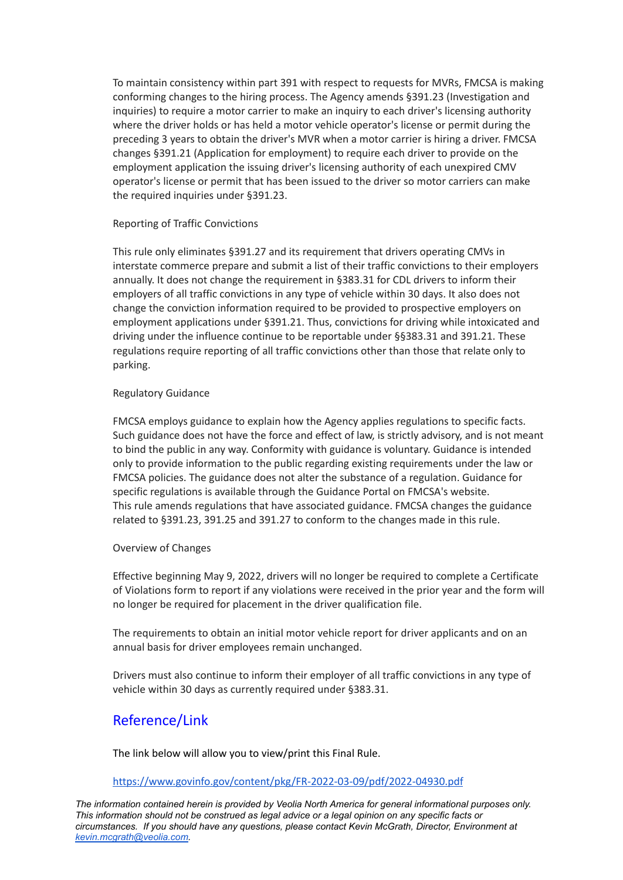To maintain consistency within part 391 with respect to requests for MVRs, FMCSA is making conforming changes to the hiring process. The Agency amends §391.23 (Investigation and inquiries) to require a motor carrier to make an inquiry to each driver's licensing authority where the driver holds or has held a motor vehicle operator's license or permit during the preceding 3 years to obtain the driver's MVR when a motor carrier is hiring a driver. FMCSA changes §391.21 (Application for employment) to require each driver to provide on the employment application the issuing driver's licensing authority of each unexpired CMV operator's license or permit that has been issued to the driver so motor carriers can make the required inquiries under §391.23.

#### Reporting of Traffic Convictions

This rule only eliminates §391.27 and its requirement that drivers operating CMVs in interstate commerce prepare and submit a list of their traffic convictions to their employers annually. It does not change the requirement in §383.31 for CDL drivers to inform their employers of all traffic convictions in any type of vehicle within 30 days. It also does not change the conviction information required to be provided to prospective employers on employment applications under §391.21. Thus, convictions for driving while intoxicated and driving under the influence continue to be reportable under §§383.31 and 391.21. These regulations require reporting of all traffic convictions other than those that relate only to parking.

#### Regulatory Guidance

FMCSA employs guidance to explain how the Agency applies regulations to specific facts. Such guidance does not have the force and effect of law, is strictly advisory, and is not meant to bind the public in any way. Conformity with guidance is voluntary. Guidance is intended only to provide information to the public regarding existing requirements under the law or FMCSA policies. The guidance does not alter the substance of a regulation. Guidance for specific regulations is available through the Guidance Portal on FMCSA's website. This rule amends regulations that have associated guidance. FMCSA changes the guidance related to §391.23, 391.25 and 391.27 to conform to the changes made in this rule.

#### Overview of Changes

Effective beginning May 9, 2022, drivers will no longer be required to complete a Certificate of Violations form to report if any violations were received in the prior year and the form will no longer be required for placement in the driver qualification file.

The requirements to obtain an initial motor vehicle report for driver applicants and on an annual basis for driver employees remain unchanged.

Drivers must also continue to inform their employer of all traffic convictions in any type of vehicle within 30 days as currently required under §383.31.

# Reference/Link

The link below will allow you to view/print this Final Rule.

#### <https://www.govinfo.gov/content/pkg/FR-2022-03-09/pdf/2022-04930.pdf>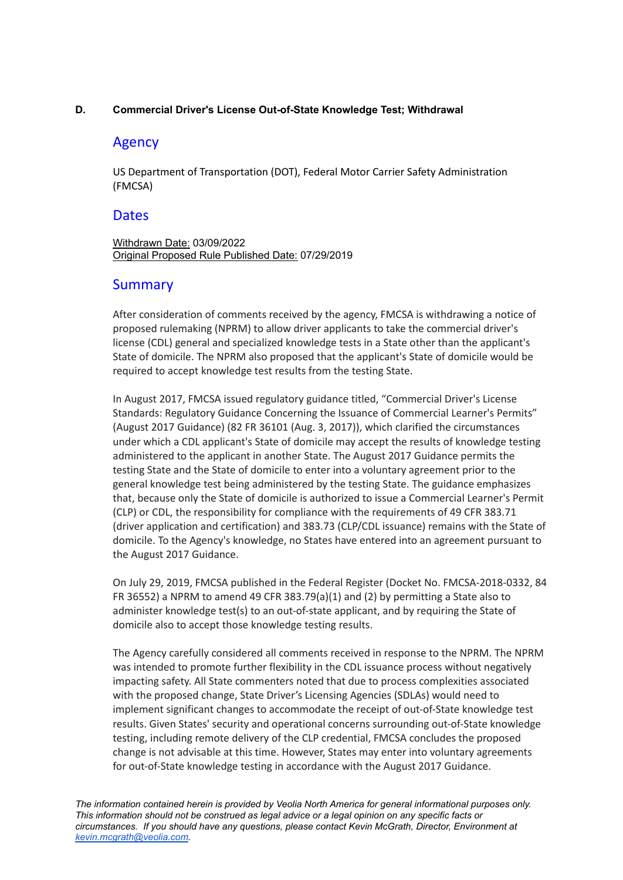#### <span id="page-5-0"></span>**D. Commercial Driver's License Out-of-State Knowledge Test; Withdrawal**

# Agency

US Department of Transportation (DOT), Federal Motor Carrier Safety Administration (FMCSA)

## **Dates**

Withdrawn Date: 03/09/2022 Original Proposed Rule Published Date: 07/29/2019

# **Summary**

After consideration of comments received by the agency, FMCSA is withdrawing a notice of proposed rulemaking (NPRM) to allow driver applicants to take the commercial driver's license (CDL) general and specialized knowledge tests in a State other than the applicant's State of domicile. The NPRM also proposed that the applicant's State of domicile would be required to accept knowledge test results from the testing State.

In August 2017, FMCSA issued regulatory guidance titled, "Commercial Driver's License Standards: Regulatory Guidance Concerning the Issuance of Commercial Learner's Permits" (August 2017 Guidance) (82 FR 36101 (Aug. 3, 2017)), which clarified the circumstances under which a CDL applicant's State of domicile may accept the results of knowledge testing administered to the applicant in another State. The August 2017 Guidance permits the testing State and the State of domicile to enter into a voluntary agreement prior to the general knowledge test being administered by the testing State. The guidance emphasizes that, because only the State of domicile is authorized to issue a Commercial Learner's Permit (CLP) or CDL, the responsibility for compliance with the requirements of 49 CFR 383.71 (driver application and certification) and 383.73 (CLP/CDL issuance) remains with the State of domicile. To the Agency's knowledge, no States have entered into an agreement pursuant to the August 2017 Guidance.

On July 29, 2019, FMCSA published in the Federal Register (Docket No. FMCSA-2018-0332, 84 FR 36552) a NPRM to amend 49 CFR 383.79(a)(1) and (2) by permitting a State also to administer knowledge test(s) to an out-of-state applicant, and by requiring the State of domicile also to accept those knowledge testing results.

The Agency carefully considered all comments received in response to the NPRM. The NPRM was intended to promote further flexibility in the CDL issuance process without negatively impacting safety. All State commenters noted that due to process complexities associated with the proposed change, State Driver's Licensing Agencies (SDLAs) would need to implement significant changes to accommodate the receipt of out-of-State knowledge test results. Given States' security and operational concerns surrounding out-of-State knowledge testing, including remote delivery of the CLP credential, FMCSA concludes the proposed change is not advisable at this time. However, States may enter into voluntary agreements for out-of-State knowledge testing in accordance with the August 2017 Guidance.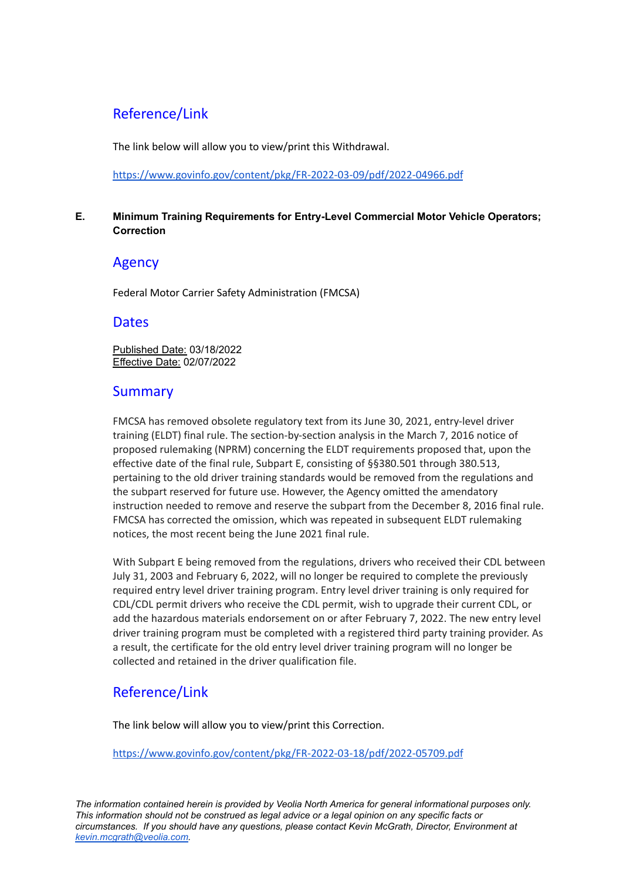# Reference/Link

The link below will allow you to view/print this Withdrawal.

<https://www.govinfo.gov/content/pkg/FR-2022-03-09/pdf/2022-04966.pdf>

## <span id="page-6-0"></span>**E. Minimum Training Requirements for Entry-Level Commercial Motor Vehicle Operators; Correction**

# Agency

Federal Motor Carrier Safety Administration (FMCSA)

# **Dates**

Published Date: 03/18/2022 Effective Date: 02/07/2022

# **Summary**

FMCSA has removed obsolete regulatory text from its June 30, 2021, entry-level driver training (ELDT) final rule. The section-by-section analysis in the March 7, 2016 notice of proposed rulemaking (NPRM) concerning the ELDT requirements proposed that, upon the effective date of the final rule, Subpart E, consisting of §§380.501 through 380.513, pertaining to the old driver training standards would be removed from the regulations and the subpart reserved for future use. However, the Agency omitted the amendatory instruction needed to remove and reserve the subpart from the December 8, 2016 final rule. FMCSA has corrected the omission, which was repeated in subsequent ELDT rulemaking notices, the most recent being the June 2021 final rule.

With Subpart E being removed from the regulations, drivers who received their CDL between July 31, 2003 and February 6, 2022, will no longer be required to complete the previously required entry level driver training program. Entry level driver training is only required for CDL/CDL permit drivers who receive the CDL permit, wish to upgrade their current CDL, or add the hazardous materials endorsement on or after February 7, 2022. The new entry level driver training program must be completed with a registered third party training provider. As a result, the certificate for the old entry level driver training program will no longer be collected and retained in the driver qualification file.

# Reference/Link

The link below will allow you to view/print this Correction.

<https://www.govinfo.gov/content/pkg/FR-2022-03-18/pdf/2022-05709.pdf>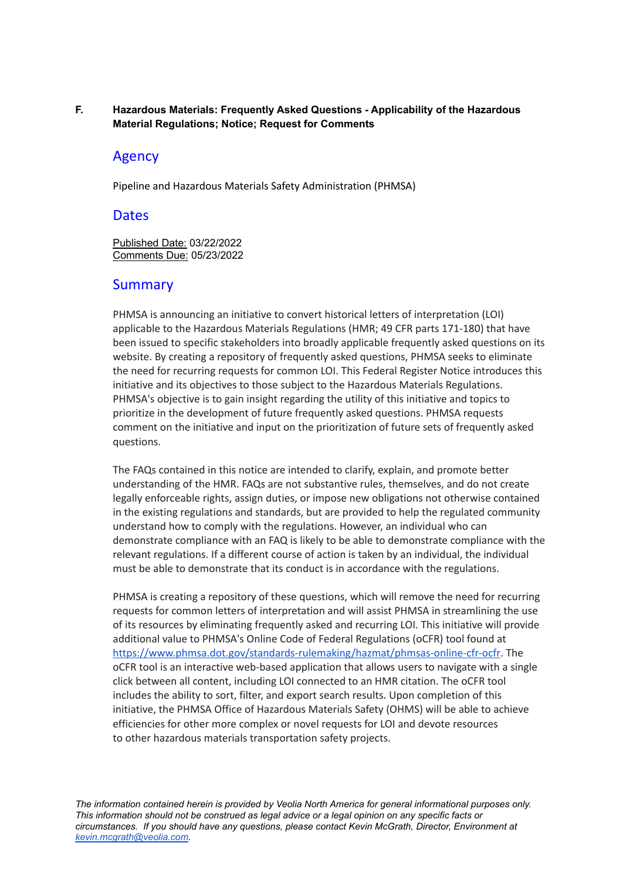#### <span id="page-7-0"></span>**F. Hazardous Materials: Frequently Asked Questions - Applicability of the Hazardous Material Regulations; Notice; Request for Comments**

## Agency

Pipeline and Hazardous Materials Safety Administration (PHMSA)

## **Dates**

Published Date: 03/22/2022 Comments Due: 05/23/2022

## Summary

PHMSA is announcing an initiative to convert historical letters of interpretation (LOI) applicable to the Hazardous Materials Regulations (HMR; 49 CFR parts 171-180) that have been issued to specific stakeholders into broadly applicable frequently asked questions on its website. By creating a repository of frequently asked questions, PHMSA seeks to eliminate the need for recurring requests for common LOI. This Federal Register Notice introduces this initiative and its objectives to those subject to the Hazardous Materials Regulations. PHMSA's objective is to gain insight regarding the utility of this initiative and topics to prioritize in the development of future frequently asked questions. PHMSA requests comment on the initiative and input on the prioritization of future sets of frequently asked questions.

The FAQs contained in this notice are intended to clarify, explain, and promote better understanding of the HMR. FAQs are not substantive rules, themselves, and do not create legally enforceable rights, assign duties, or impose new obligations not otherwise contained in the existing regulations and standards, but are provided to help the regulated community understand how to comply with the regulations. However, an individual who can demonstrate compliance with an FAQ is likely to be able to demonstrate compliance with the relevant regulations. If a different course of action is taken by an individual, the individual must be able to demonstrate that its conduct is in accordance with the regulations.

PHMSA is creating a repository of these questions, which will remove the need for recurring requests for common letters of interpretation and will assist PHMSA in streamlining the use of its resources by eliminating frequently asked and recurring LOI. This initiative will provide additional value to PHMSA's Online Code of Federal Regulations (oCFR) tool found at [https://www.phmsa.dot.gov/standards-rulemaking/hazmat/phmsas-online-cfr-ocfr.](https://www.phmsa.dot.gov/standards-rulemaking/hazmat/phmsas-online-cfr-ocfr) The oCFR tool is an interactive web-based application that allows users to navigate with a single click between all content, including LOI connected to an HMR citation. The oCFR tool includes the ability to sort, filter, and export search results. Upon completion of this initiative, the PHMSA Office of Hazardous Materials Safety (OHMS) will be able to achieve efficiencies for other more complex or novel requests for LOI and devote resources to other hazardous materials transportation safety projects.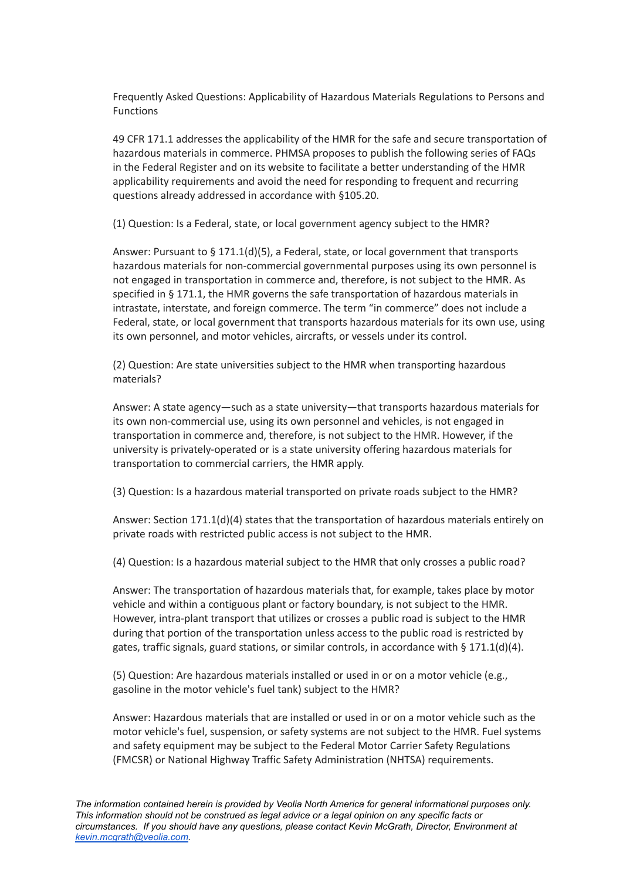Frequently Asked Questions: Applicability of Hazardous Materials Regulations to Persons and Functions

49 CFR 171.1 addresses the applicability of the HMR for the safe and secure transportation of hazardous materials in commerce. PHMSA proposes to publish the following series of FAQs in the Federal Register and on its website to facilitate a better understanding of the HMR applicability requirements and avoid the need for responding to frequent and recurring questions already addressed in accordance with §105.20.

(1) Question: Is a Federal, state, or local government agency subject to the HMR?

Answer: Pursuant to § 171.1(d)(5), a Federal, state, or local government that transports hazardous materials for non-commercial governmental purposes using its own personnel is not engaged in transportation in commerce and, therefore, is not subject to the HMR. As specified in § 171.1, the HMR governs the safe transportation of hazardous materials in intrastate, interstate, and foreign commerce. The term "in commerce" does not include a Federal, state, or local government that transports hazardous materials for its own use, using its own personnel, and motor vehicles, aircrafts, or vessels under its control.

(2) Question: Are state universities subject to the HMR when transporting hazardous materials?

Answer: A state agency—such as a state university—that transports hazardous materials for its own non-commercial use, using its own personnel and vehicles, is not engaged in transportation in commerce and, therefore, is not subject to the HMR. However, if the university is privately-operated or is a state university offering hazardous materials for transportation to commercial carriers, the HMR apply.

(3) Question: Is a hazardous material transported on private roads subject to the HMR?

Answer: Section 171.1(d)(4) states that the transportation of hazardous materials entirely on private roads with restricted public access is not subject to the HMR.

(4) Question: Is a hazardous material subject to the HMR that only crosses a public road?

Answer: The transportation of hazardous materials that, for example, takes place by motor vehicle and within a contiguous plant or factory boundary, is not subject to the HMR. However, intra-plant transport that utilizes or crosses a public road is subject to the HMR during that portion of the transportation unless access to the public road is restricted by gates, traffic signals, guard stations, or similar controls, in accordance with § 171.1(d)(4).

(5) Question: Are hazardous materials installed or used in or on a motor vehicle (e.g., gasoline in the motor vehicle's fuel tank) subject to the HMR?

Answer: Hazardous materials that are installed or used in or on a motor vehicle such as the motor vehicle's fuel, suspension, or safety systems are not subject to the HMR. Fuel systems and safety equipment may be subject to the Federal Motor Carrier Safety Regulations (FMCSR) or National Highway Traffic Safety Administration (NHTSA) requirements.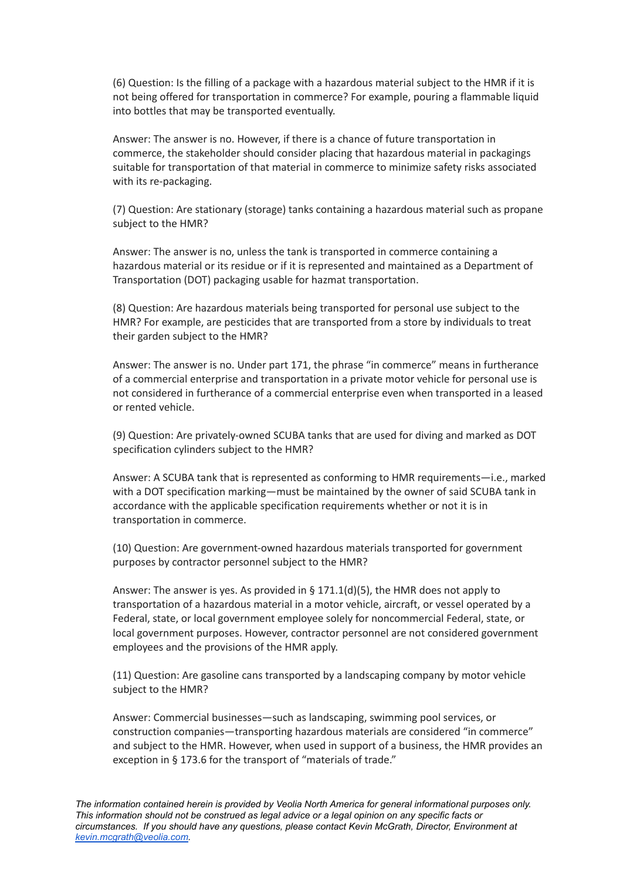(6) Question: Is the filling of a package with a hazardous material subject to the HMR if it is not being offered for transportation in commerce? For example, pouring a flammable liquid into bottles that may be transported eventually.

Answer: The answer is no. However, if there is a chance of future transportation in commerce, the stakeholder should consider placing that hazardous material in packagings suitable for transportation of that material in commerce to minimize safety risks associated with its re-packaging.

(7) Question: Are stationary (storage) tanks containing a hazardous material such as propane subject to the HMR?

Answer: The answer is no, unless the tank is transported in commerce containing a hazardous material or its residue or if it is represented and maintained as a Department of Transportation (DOT) packaging usable for hazmat transportation.

(8) Question: Are hazardous materials being transported for personal use subject to the HMR? For example, are pesticides that are transported from a store by individuals to treat their garden subject to the HMR?

Answer: The answer is no. Under part 171, the phrase "in commerce" means in furtherance of a commercial enterprise and transportation in a private motor vehicle for personal use is not considered in furtherance of a commercial enterprise even when transported in a leased or rented vehicle.

(9) Question: Are privately-owned SCUBA tanks that are used for diving and marked as DOT specification cylinders subject to the HMR?

Answer: A SCUBA tank that is represented as conforming to HMR requirements—i.e., marked with a DOT specification marking—must be maintained by the owner of said SCUBA tank in accordance with the applicable specification requirements whether or not it is in transportation in commerce.

(10) Question: Are government-owned hazardous materials transported for government purposes by contractor personnel subject to the HMR?

Answer: The answer is yes. As provided in § 171.1(d)(5), the HMR does not apply to transportation of a hazardous material in a motor vehicle, aircraft, or vessel operated by a Federal, state, or local government employee solely for noncommercial Federal, state, or local government purposes. However, contractor personnel are not considered government employees and the provisions of the HMR apply.

(11) Question: Are gasoline cans transported by a landscaping company by motor vehicle subject to the HMR?

Answer: Commercial businesses—such as landscaping, swimming pool services, or construction companies—transporting hazardous materials are considered "in commerce" and subject to the HMR. However, when used in support of a business, the HMR provides an exception in § 173.6 for the transport of "materials of trade."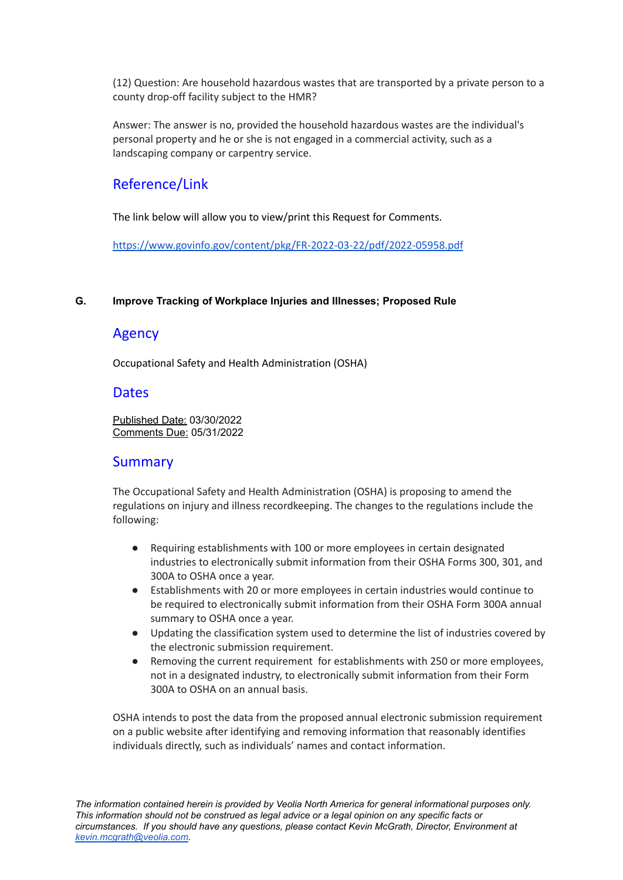(12) Question: Are household hazardous wastes that are transported by a private person to a county drop-off facility subject to the HMR?

Answer: The answer is no, provided the household hazardous wastes are the individual's personal property and he or she is not engaged in a commercial activity, such as a landscaping company or carpentry service.

# Reference/Link

The link below will allow you to view/print this Request for Comments.

<https://www.govinfo.gov/content/pkg/FR-2022-03-22/pdf/2022-05958.pdf>

#### <span id="page-10-0"></span>**G. Improve Tracking of Workplace Injuries and Illnesses; Proposed Rule**

# Agency

Occupational Safety and Health Administration (OSHA)

# **Dates**

Published Date: 03/30/2022 Comments Due: 05/31/2022

# **Summary**

The Occupational Safety and Health Administration (OSHA) is proposing to amend the regulations on injury and illness recordkeeping. The changes to the regulations include the following:

- Requiring establishments with 100 or more employees in certain designated industries to electronically submit information from their OSHA Forms 300, 301, and 300A to OSHA once a year.
- Establishments with 20 or more employees in certain industries would continue to be required to electronically submit information from their OSHA Form 300A annual summary to OSHA once a year.
- Updating the classification system used to determine the list of industries covered by the electronic submission requirement.
- Removing the current requirement for establishments with 250 or more employees, not in a designated industry, to electronically submit information from their Form 300A to OSHA on an annual basis.

OSHA intends to post the data from the proposed annual electronic submission requirement on a public website after identifying and removing information that reasonably identifies individuals directly, such as individuals' names and contact information.